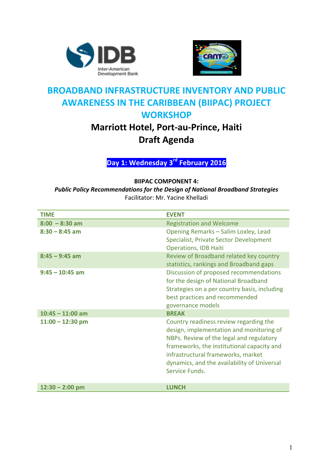



### **BROADBAND INFRASTRUCTURE INVENTORY AND PUBLIC AWARENESS IN THE CARIBBEAN (BIIPAC) PROJECT WORKSHOP**

# **Marriott Hotel, Port-au-Prince, Haiti Draft Agenda**

**Day 1: Wednesday 3rd February 2016**

#### **BIIPAC COMPONENT 4:**

**Public Policy Recommendations for the Design of National Broadband Strategies** Facilitator: Mr. Yacine Khelladi

| <b>TIME</b>        | <b>EVENT</b>                                                                                                                                                                                                                                                                        |
|--------------------|-------------------------------------------------------------------------------------------------------------------------------------------------------------------------------------------------------------------------------------------------------------------------------------|
| $8:00 - 8:30$ am   | <b>Registration and Welcome</b>                                                                                                                                                                                                                                                     |
| $8:30 - 8:45$ am   | Opening Remarks - Salim Loxley, Lead<br>Specialist, Private Sector Development<br><b>Operations, IDB Haiti</b>                                                                                                                                                                      |
| $8:45 - 9:45$ am   | Review of Broadband related key country<br>statistics, rankings and Broadband gaps                                                                                                                                                                                                  |
| $9:45 - 10:45$ am  | Discussion of proposed recommendations<br>for the design of National Broadband<br>Strategies on a per country basis, including<br>best practices and recommended<br>governance models                                                                                               |
| $10:45 - 11:00$ am | <b>BREAK</b>                                                                                                                                                                                                                                                                        |
| $11:00 - 12:30$ pm | Country readiness review regarding the<br>design, implementation and monitoring of<br>NBPs. Review of the legal and regulatory<br>frameworks, the institutional capacity and<br>infrastructural frameworks, market<br>dynamics, and the availability of Universal<br>Service Funds. |
| $12:30 - 2:00$ pm  | <b>LUNCH</b>                                                                                                                                                                                                                                                                        |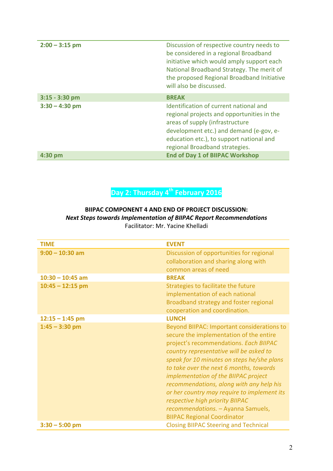| $2:00 - 3:15$ pm | Discussion of respective country needs to<br>be considered in a regional Broadband<br>initiative which would amply support each<br>National Broadband Strategy. The merit of<br>the proposed Regional Broadband Initiative<br>will also be discussed. |
|------------------|-------------------------------------------------------------------------------------------------------------------------------------------------------------------------------------------------------------------------------------------------------|
| $3:15 - 3:30$ pm | <b>BREAK</b>                                                                                                                                                                                                                                          |
| $3:30 - 4:30$ pm | Identification of current national and<br>regional projects and opportunities in the<br>areas of supply (infrastructure<br>development etc.) and demand (e-gov, e-<br>education etc.), to support national and<br>regional Broadband strategies.      |
| $4:30$ pm        | <b>End of Day 1 of BIIPAC Workshop</b>                                                                                                                                                                                                                |

# **Day 2: Thursday 4th February 2016**

### **BIIPAC COMPONENT 4 AND END OF PROJECT DISCUSSION: Next Steps towards Implementation of BIIPAC Report Recommendations**

Facilitator: Mr. Yacine Khelladi

| <b>TIME</b>        | <b>EVENT</b>                                                                                                                                                                                                                                                                                                                                                                                                                                                                                                          |
|--------------------|-----------------------------------------------------------------------------------------------------------------------------------------------------------------------------------------------------------------------------------------------------------------------------------------------------------------------------------------------------------------------------------------------------------------------------------------------------------------------------------------------------------------------|
| $9:00 - 10:30$ am  | Discussion of opportunities for regional                                                                                                                                                                                                                                                                                                                                                                                                                                                                              |
|                    | collaboration and sharing along with                                                                                                                                                                                                                                                                                                                                                                                                                                                                                  |
|                    | common areas of need                                                                                                                                                                                                                                                                                                                                                                                                                                                                                                  |
| $10:30 - 10:45$ am | <b>BREAK</b>                                                                                                                                                                                                                                                                                                                                                                                                                                                                                                          |
| $10:45 - 12:15$ pm | Strategies to facilitate the future                                                                                                                                                                                                                                                                                                                                                                                                                                                                                   |
|                    | implementation of each national                                                                                                                                                                                                                                                                                                                                                                                                                                                                                       |
|                    | Broadband strategy and foster regional<br>cooperation and coordination.                                                                                                                                                                                                                                                                                                                                                                                                                                               |
| $12:15 - 1:45$ pm  | <b>LUNCH</b>                                                                                                                                                                                                                                                                                                                                                                                                                                                                                                          |
| $1:45 - 3:30$ pm   | Beyond BIIPAC: Important considerations to<br>secure the implementation of the entire<br>project's recommendations. Each BIIPAC<br>country representative will be asked to<br>speak for 10 minutes on steps he/she plans<br>to take over the next 6 months, towards<br>implementation of the BIIPAC project<br>recommendations, along with any help his<br>or her country may require to implement its<br>respective high priority BIIPAC<br>recommendations. - Ayanna Samuels,<br><b>BIIPAC Regional Coordinator</b> |
| $3:30 - 5:00$ pm   | <b>Closing BIIPAC Steering and Technical</b>                                                                                                                                                                                                                                                                                                                                                                                                                                                                          |